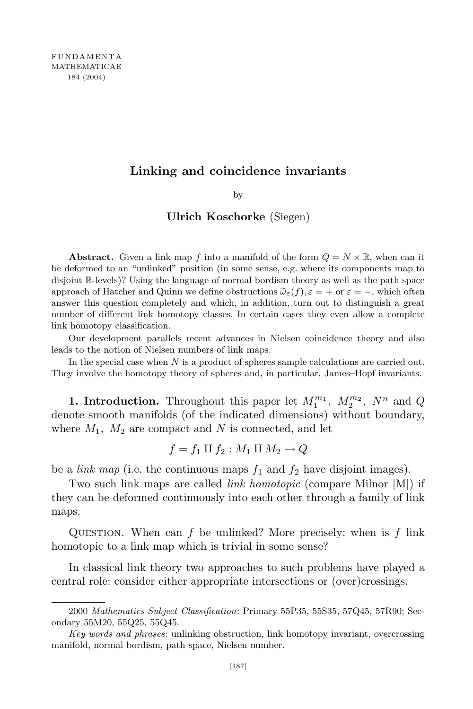## **Linking and coincidence invariants**

by

## **Ulrich Koschorke** (Siegen)

**Abstract.** Given a link map f into a manifold of the form  $Q = N \times \mathbb{R}$ , when can it be deformed to an "unlinked" position (in some sense, e.g. where its components map to disjoint R-levels)? Using the language of normal bordism theory as well as the path space approach of Hatcher and Quinn we define obstructions  $\tilde{\omega}_{\varepsilon}(f), \varepsilon = +$  or  $\varepsilon = -$ , which often answer this question completely and which, in addition, turn out to distinguish a great number of different link homotopy classes. In certain cases they even allow a complete link homotopy classification.

Our development parallels recent advances in Nielsen coincidence theory and also leads to the notion of Nielsen numbers of link maps.

In the special case when *N* is a product of spheres sample calculations are carried out. They involve the homotopy theory of spheres and, in particular, James–Hopf invariants.

**1. Introduction.** Throughout this paper let  $M_1^{m_1}$ ,  $M_2^{m_2}$ ,  $N^n$  and *Q* denote smooth manifolds (of the indicated dimensions) without boundary, where  $M_1$ ,  $M_2$  are compact and N is connected, and let

$$
f = f_1 \amalg f_2 : M_1 \amalg M_2 \to Q
$$

be a *link* map (i.e. the continuous maps  $f_1$  and  $f_2$  have disjoint images).

Two such link maps are called *link homotopic* (compare Milnor [M]) if they can be deformed continuously into each other through a family of link maps.

Question. When can *f* be unlinked? More precisely: when is *f* link homotopic to a link map which is trivial in some sense?

In classical link theory two approaches to such problems have played a central role: consider either appropriate intersections or (over)crossings.

<sup>2000</sup> *Mathematics Subject Classification*: Primary 55P35, 55S35, 57Q45, 57R90; Secondary 55M20, 55Q25, 55Q45.

*Key words and phrases*: unlinking obstruction, link homotopy invariant, overcrossing manifold, normal bordism, path space, Nielsen number.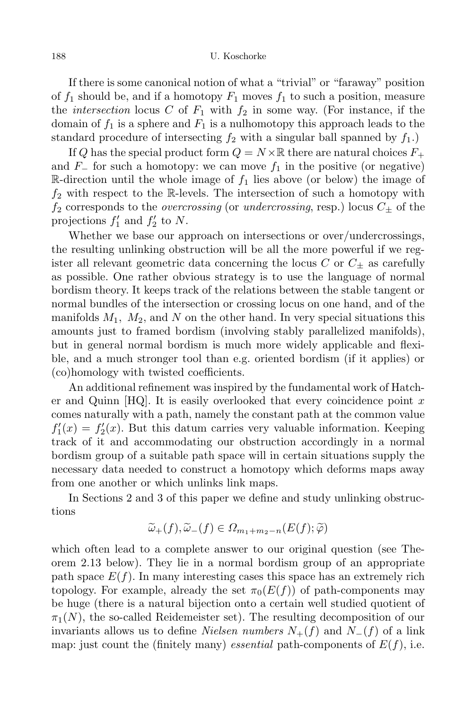If there is some canonical notion of what a "trivial" or "faraway" position of  $f_1$  should be, and if a homotopy  $F_1$  moves  $f_1$  to such a position, measure the *intersection* locus C of  $F_1$  with  $f_2$  in some way. (For instance, if the domain of  $f_1$  is a sphere and  $F_1$  is a nulhomotopy this approach leads to the standard procedure of intersecting  $f_2$  with a singular ball spanned by  $f_1$ .)

If *Q* has the special product form  $Q = N \times \mathbb{R}$  there are natural choices  $F_+$ and  $F<sub>−</sub>$  for such a homotopy: we can move  $f<sub>1</sub>$  in the positive (or negative) R-direction until the whole image of  $f_1$  lies above (or below) the image of  $f_2$  with respect to the R-levels. The intersection of such a homotopy with  $f_2$  corresponds to the *overcrossing* (or *undercrossing*, resp.) locus  $C_{\pm}$  of the projections  $f'_1$  and  $f'_2$  to  $N$ .

Whether we base our approach on intersections or over/undercrossings, the resulting unlinking obstruction will be all the more powerful if we register all relevant geometric data concerning the locus *C* or *C<sup>±</sup>* as carefully as possible. One rather obvious strategy is to use the language of normal bordism theory. It keeps track of the relations between the stable tangent or normal bundles of the intersection or crossing locus on one hand, and of the manifolds  $M_1$ ,  $M_2$ , and  $N$  on the other hand. In very special situations this amounts just to framed bordism (involving stably parallelized manifolds), but in general normal bordism is much more widely applicable and flexible, and a much stronger tool than e.g. oriented bordism (if it applies) or (co)homology with twisted coefficients.

An additional refinement was inspired by the fundamental work of Hatcher and Quinn [HQ]. It is easily overlooked that every coincidence point *x* comes naturally with a path, namely the constant path at the common value  $f_1'(x) = f_2'(x)$ . But this datum carries very valuable information. Keeping track of it and accommodating our obstruction accordingly in a normal bordism group of a suitable path space will in certain situations supply the necessary data needed to construct a homotopy which deforms maps away from one another or which unlinks link maps.

In Sections 2 and 3 of this paper we define and study unlinking obstructions

$$
\widetilde{\omega}_+(f), \widetilde{\omega}_-(f) \in \Omega_{m_1+m_2-n}(E(f); \widetilde{\varphi})
$$

which often lead to a complete answer to our original question (see Theorem 2.13 below). They lie in a normal bordism group of an appropriate path space  $E(f)$ . In many interesting cases this space has an extremely rich topology. For example, already the set  $\pi_0(E(f))$  of path-components may be huge (there is a natural bijection onto a certain well studied quotient of  $\pi_1(N)$ , the so-called Reidemeister set). The resulting decomposition of our invariants allows us to define *Nielsen numbers*  $N_{+}(f)$  and  $N_{-}(f)$  of a link map: just count the (finitely many) *essential* path-components of  $E(f)$ , i.e.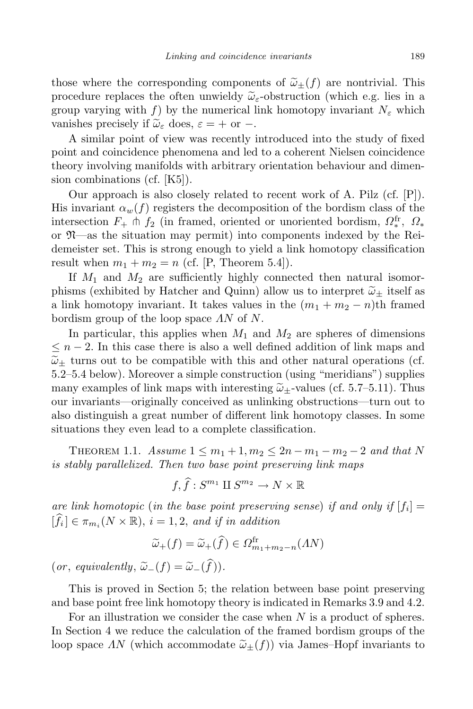those where the corresponding components of  $\tilde{\omega}_+(f)$  are nontrivial. This procedure replaces the often unwieldy  $\tilde{\omega}_{\varepsilon}$ -obstruction (which e.g. lies in a group varying with *f*) by the numerical link homotopy invariant  $N_{\varepsilon}$  which vanishes precisely if  $\tilde{\omega}_{\varepsilon}$  does,  $\varepsilon = +$  or  $-$ .

A similar point of view was recently introduced into the study of fixed point and coincidence phenomena and led to a coherent Nielsen coincidence theory involving manifolds with arbitrary orientation behaviour and dimension combinations (cf. [K5]).

Our approach is also closely related to recent work of A. Pilz (cf. [P]). His invariant  $\alpha_w(f)$  registers the decomposition of the bordism class of the intersection  $F_+$   $\uparrow$  *f*<sub>2</sub> (in framed, oriented or unoriented bordism,  $\Omega_*^{\text{fr}}$ ,  $\Omega_*$ *∗* or N—as the situation may permit) into components indexed by the Reidemeister set. This is strong enough to yield a link homotopy classification result when  $m_1 + m_2 = n$  (cf. [P, Theorem 5.4]).

If *M*<sup>1</sup> and *M*<sup>2</sup> are sufficiently highly connected then natural isomorphisms (exhibited by Hatcher and Quinn) allow us to interpret  $\tilde{\omega}_{\pm}$  itself as a link homotopy invariant. It takes values in the  $(m_1 + m_2 - n)$ <sup>th</sup> framed bordism group of the loop space *ΛN* of *N*.

In particular, this applies when  $M_1$  and  $M_2$  are spheres of dimensions *≤ n −* 2. In this case there is also a well defined addition of link maps and  $\tilde{\omega}_{\pm}$  turns out to be compatible with this and other natural operations (cf. 5.2–5.4 below). Moreover a simple construction (using "meridians") supplies many examples of link maps with interesting  $\tilde{\omega}_+$ -values (cf. 5.7–5.11). Thus our invariants—originally conceived as unlinking obstructions—turn out to also distinguish a great number of different link homotopy classes. In some situations they even lead to a complete classification.

THEOREM 1.1. *Assume*  $1 ≤ m_1 + 1, m_2 ≤ 2n - m_1 - m_2 - 2$  and that N *is stably parallelized. Then two base point preserving link maps*

$$
f, \widehat{f}: S^{m_1} \amalg S^{m_2} \to N \times \mathbb{R}
$$

*are link homotopic* (*in the base point preserving sense*) *if and only if* [*f<sup>i</sup>* ] =  $[f_i] \in \pi_{m_i}(N \times \mathbb{R})$ ,  $i = 1, 2$ , and *if in* addition

$$
\widetilde{\omega}_+(f) = \widetilde{\omega}_+(\widehat{f}) \in \Omega_{m_1 + m_2 - n}^{\text{fr}}(AN)
$$

 $(or, equivalently, \tilde{\omega}_{-}(f) = \tilde{\omega}_{-}(\hat{f})).$ 

This is proved in Section 5; the relation between base point preserving and base point free link homotopy theory is indicated in Remarks 3.9 and 4.2.

For an illustration we consider the case when *N* is a product of spheres. In Section 4 we reduce the calculation of the framed bordism groups of the loop space  $\Lambda N$  (which accommodate  $\tilde{\omega}_{\pm}(f)$ ) via James–Hopf invariants to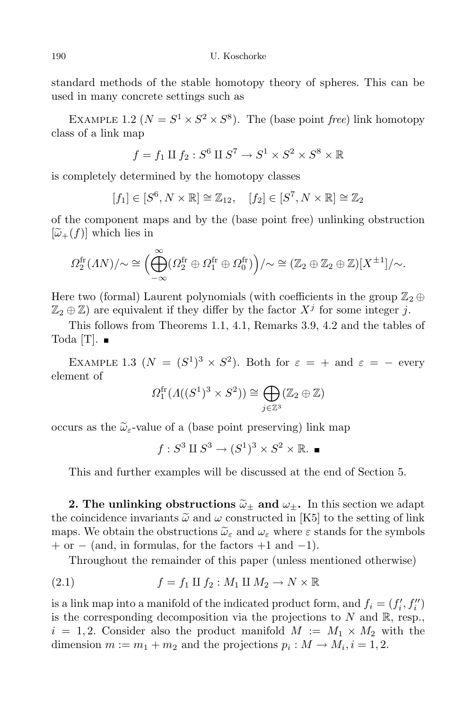standard methods of the stable homotopy theory of spheres. This can be used in many concrete settings such as

EXAMPLE 1.2 ( $N = S^1 \times S^2 \times S^8$ ). The (base point *free*) link homotopy class of a link map

$$
f = f_1 \amalg f_2 : S^6 \amalg S^7 \to S^1 \times S^2 \times S^8 \times \mathbb{R}
$$

is completely determined by the homotopy classes

$$
[f_1] \in [S^6, N \times \mathbb{R}] \cong \mathbb{Z}_{12}, \quad [f_2] \in [S^7, N \times \mathbb{R}] \cong \mathbb{Z}_2
$$

of the component maps and by the (base point free) unlinking obstruction  $[\widetilde{\omega}_+(f)]$  which lies in

$$
\Omega_2^{\text{fr}}(\Lambda N)/\!\!\sim\cong\Big(\bigoplus_{-\infty}^{\infty}(\Omega_2^{\text{fr}}\oplus\Omega_1^{\text{fr}}\oplus\Omega_0^{\text{fr}})\Big)/\!\!\sim\cong(\mathbb{Z}_2\oplus\mathbb{Z}_2\oplus\mathbb{Z})[X^{\pm 1}]/\!\!\sim.
$$

Here two (formal) Laurent polynomials (with coefficients in the group  $\mathbb{Z}_2 \oplus$  $\mathbb{Z}_2 \oplus \mathbb{Z}$ ) are equivalent if they differ by the factor  $X^j$  for some integer *j*.

This follows from Theorems 1.1, 4.1, Remarks 3.9, 4.2 and the tables of Toda [T].  $\blacksquare$ 

EXAMPLE 1.3 ( $N = (S^1)^3 \times S^2$ ). Both for  $\varepsilon = +$  and  $\varepsilon = -$  every element of

$$
\Omega_1^{\text{fr}}(\Lambda((S^1)^3 \times S^2)) \cong \bigoplus_{j \in \mathbb{Z}^3} (\mathbb{Z}_2 \oplus \mathbb{Z})
$$

occurs as the  $\tilde{\omega}_{\varepsilon}$ -value of a (base point preserving) link map

$$
f: S^3 \amalg S^3 \to (S^1)^3 \times S^2 \times \mathbb{R}
$$
.

This and further examples will be discussed at the end of Section 5.

**2.** The unlinking obstructions  $\tilde{\omega}_{\pm}$  and  $\omega_{\pm}$ . In this section we adapt the coincidence invariants  $\tilde{\omega}$  and  $\omega$  constructed in [K5] to the setting of link maps. We obtain the obstructions  $\tilde{\omega}_{\varepsilon}$  and  $\omega_{\varepsilon}$  where  $\varepsilon$  stands for the symbols + or *−* (and, in formulas, for the factors +1 and *−*1).

Throughout the remainder of this paper (unless mentioned otherwise)

(2.1) 
$$
f = f_1 \amalg f_2 : M_1 \amalg M_2 \to N \times \mathbb{R}
$$

is a link map into a manifold of the indicated product form, and  $f_i = (f'_i, f''_i)$ is the corresponding decomposition via the projections to  $N$  and  $\mathbb{R}$ , resp.,  $i = 1, 2$ . Consider also the product manifold  $M := M_1 \times M_2$  with the dimension  $m := m_1 + m_2$  and the projections  $p_i : M \to M_i, i = 1, 2$ .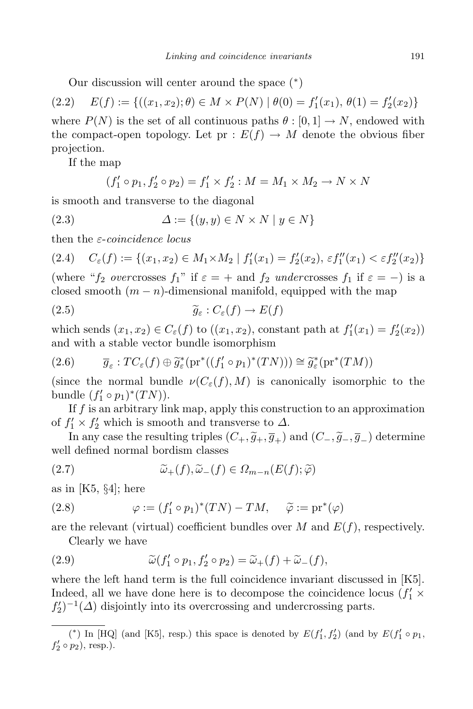Our discussion will center around the space ( *∗* )

$$
(2.2) \quad E(f) := \{ ((x_1, x_2); \theta) \in M \times P(N) \mid \theta(0) = f'_1(x_1), \, \theta(1) = f'_2(x_2) \}
$$

where  $P(N)$  is the set of all continuous paths  $\theta$  :  $[0, 1] \rightarrow N$ , endowed with the compact-open topology. Let  $pr : E(f) \to M$  denote the obvious fiber projection.

If the map

$$
(f'_1 \circ p_1, f'_2 \circ p_2) = f'_1 \times f'_2 : M = M_1 \times M_2 \to N \times N
$$

is smooth and transverse to the diagonal

(2.3) 
$$
\Delta := \{(y, y) \in N \times N \mid y \in N\}
$$

then the *ε*-*coincidence locus*

$$
(2.4) \quad C_{\varepsilon}(f) := \{ (x_1, x_2) \in M_1 \times M_2 \mid f_1'(x_1) = f_2'(x_2), \, \varepsilon f_1''(x_1) < \varepsilon f_2''(x_2) \}
$$

(where " $f_2$  *overcrosses*  $f_1$ " if  $\varepsilon = +$  and  $f_2$  *undercrosses*  $f_1$  if  $\varepsilon = -$ ) is a closed smooth  $(m - n)$ -dimensional manifold, equipped with the map

(2.5) 
$$
\widetilde{g}_{\varepsilon}: C_{\varepsilon}(f) \to E(f)
$$

which sends  $(x_1, x_2) \in C_{\varepsilon}(f)$  to  $((x_1, x_2)$ , constant path at  $f'_1(x_1) = f'_2(x_2)$ and with a stable vector bundle isomorphism

$$
(2.6) \qquad \overline{g}_{\varepsilon} : TC_{\varepsilon}(f) \oplus \widetilde{g}_{\varepsilon}^{*}(\mathrm{pr}^{*}((f_{1}' \circ p_{1})^{*}(TN))) \cong \widetilde{g}_{\varepsilon}^{*}(\mathrm{pr}^{*}(TM))
$$

(since the normal bundle  $\nu(C_{\varepsilon}(f), M)$  is canonically isomorphic to the bundle  $(f'_1 \circ p_1)^*(TN)$ .

If *f* is an arbitrary link map, apply this construction to an approximation of  $f'_1 \times f'_2$  which is smooth and transverse to  $\Delta$ .

In any case the resulting triples  $(C_+, \tilde{g}_+, \overline{g}_+)$  and  $(C_-, \tilde{g}_-, \overline{g}_-)$  determine well defined normal bordism classes

(2.7) 
$$
\widetilde{\omega}_+(f), \widetilde{\omega}_-(f) \in \Omega_{m-n}(E(f); \widetilde{\varphi})
$$

as in [K5, *§*4]; here

(2.8) 
$$
\varphi := (f'_1 \circ p_1)^*(TN) - TM, \quad \widetilde{\varphi} := \mathrm{pr}^*(\varphi)
$$

are the relevant (virtual) coefficient bundles over  $M$  and  $E(f)$ , respectively.

Clearly we have

(2.9) 
$$
\widetilde{\omega}(f'_1 \circ p_1, f'_2 \circ p_2) = \widetilde{\omega}_+(f) + \widetilde{\omega}_-(f),
$$

where the left hand term is the full coincidence invariant discussed in [K5]. Indeed, all we have done here is to decompose the coincidence locus  $(f_1 \times f_2)$  $f_2'$ <sup> $-1$ </sup>( $\Delta$ ) disjointly into its overcrossing and undercrossing parts.

<sup>(\*)</sup> In [HQ] (and [K5], resp.) this space is denoted by  $E(f'_1, f'_2)$  (and by  $E(f'_1 \circ p_1, f'_2)$ )  $f'_2 \circ p_2$ ), resp.).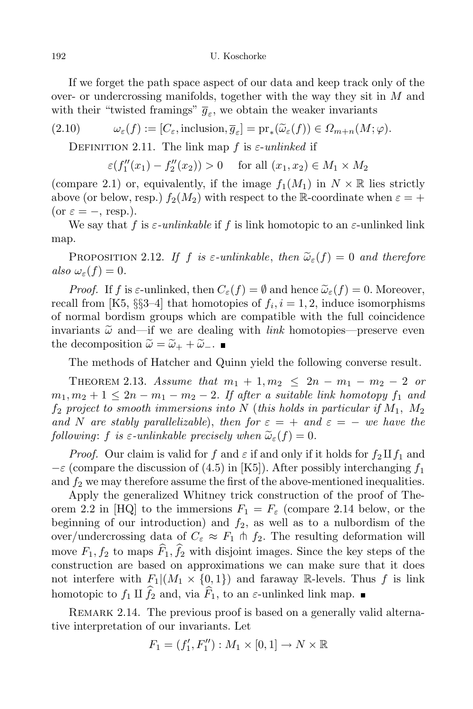If we forget the path space aspect of our data and keep track only of the over- or undercrossing manifolds, together with the way they sit in *M* and with their "twisted framings"  $\overline{g}_{\varepsilon}$ , we obtain the weaker invariants

(2.10) 
$$
\omega_{\varepsilon}(f) := [C_{\varepsilon}, \text{inclusion}, \overline{g}_{\varepsilon}] = \text{pr}_{*}(\widetilde{\omega}_{\varepsilon}(f)) \in \Omega_{m+n}(M; \varphi).
$$

DEFINITION 2.11. The link map  $f$  is  $\varepsilon$ -*unlinked* if

$$
\varepsilon(f''_1(x_1) - f''_2(x_2)) > 0
$$
 for all  $(x_1, x_2) \in M_1 \times M_2$ 

(compare 2.1) or, equivalently, if the image  $f_1(M_1)$  in  $N \times \mathbb{R}$  lies strictly above (or below, resp.)  $f_2(M_2)$  with respect to the R-coordinate when  $\varepsilon = +$  $(or \varepsilon = -, resp.).$ 

We say that *f* is  $\varepsilon$ -unlinkable if *f* is link homotopic to an  $\varepsilon$ -unlinked link map.

PROPOSITION 2.12. If *f* is  $\varepsilon$ -unlinkable, then  $\tilde{\omega}_{\varepsilon}(f) = 0$  and therefore  $also \omega_{\varepsilon}(f) = 0.$ 

*Proof.* If *f* is  $\varepsilon$ -unlinked, then  $C_{\varepsilon}(f) = \emptyset$  and hence  $\tilde{\omega}_{\varepsilon}(f) = 0$ . Moreover, recall from [K5, §§3–4] that homotopies of  $f_i, i = 1, 2$ , induce isomorphisms of normal bordism groups which are compatible with the full coincidence invariants  $\tilde{\omega}$  and—if we are dealing with *link* homotopies—preserve even the decomposition  $\tilde{\omega} = \tilde{\omega}_+ + \tilde{\omega}_-$ .

The methods of Hatcher and Quinn yield the following converse result.

THEOREM 2.13. *Assume* that  $m_1 + 1, m_2 \leq 2n - m_1 - m_2 - 2$  or  $m_1, m_2 + 1 \leq 2n - m_1 - m_2 - 2$ . If after a suitable link homotopy  $f_1$  and *f*<sup>2</sup> *project to smooth immersions into N* (*this holds in particular if M*1*, M*<sup>2</sup> *and N* are *stably parallelizable*), *then for*  $\varepsilon = +$  *and*  $\varepsilon = -$  *we have the following*: *f is*  $\varepsilon$ -*unlinkable precisely when*  $\tilde{\omega}_{\varepsilon}(f) = 0$ *.* 

*Proof.* Our claim is valid for *f* and  $\varepsilon$  if and only if it holds for  $f_2 \amalg f_1$  and  $−\varepsilon$  (compare the discussion of (4.5) in [K5]). After possibly interchanging *f*<sub>1</sub> and  $f_2$  we may therefore assume the first of the above-mentioned inequalities.

Apply the generalized Whitney trick construction of the proof of Theorem 2.2 in [HQ] to the immersions  $F_1 = F_\varepsilon$  (compare 2.14 below, or the beginning of our introduction) and  $f_2$ , as well as to a nulbordism of the over/undercrossing data of  $C_{\varepsilon} \approx F_1 \pitchfork f_2$ . The resulting deformation will move  $F_1, f_2$  to maps  $\widehat{F}_1, \widehat{f}_2$  with disjoint images. Since the key steps of the construction are based on approximations we can make sure that it does not interfere with  $F_1|(M_1 \times \{0,1\})$  and faraway R-levels. Thus f is link homotopic to  $f_1 \amalg \widehat{f}_2$  and, via  $\widehat{F}_1$ , to an  $\varepsilon$ -unlinked link map.

REMARK 2.14. The previous proof is based on a generally valid alternative interpretation of our invariants. Let

$$
F_1 = (f'_1, F''_1) : M_1 \times [0, 1] \to N \times \mathbb{R}
$$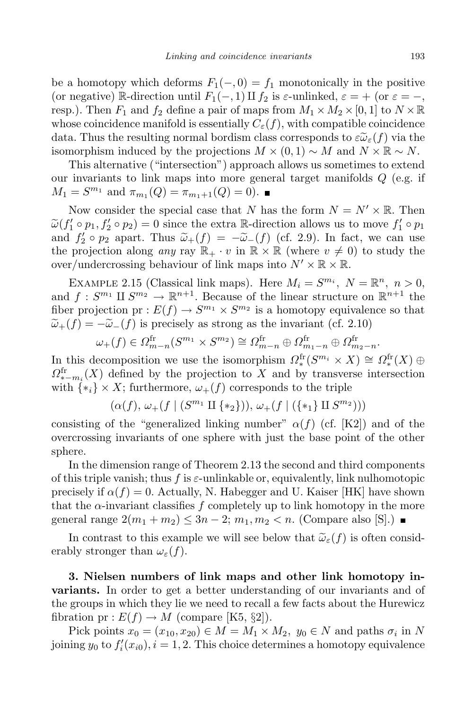be a homotopy which deforms  $F_1(-,0) = f_1$  monotonically in the positive (or negative) R-direction until  $F_1(-, 1)$  *II*  $f_2$  is  $\varepsilon$ -unlinked,  $\varepsilon = +$  (or  $\varepsilon = -$ , resp.). Then  $F_1$  and  $f_2$  define a pair of maps from  $M_1 \times M_2 \times [0,1]$  to  $N \times \mathbb{R}$ whose coincidence manifold is essentially  $C_{\varepsilon}(f)$ , with compatible coincidence data. Thus the resulting normal bordism class corresponds to  $\tilde{e}\tilde{\omega}_{\varepsilon}(f)$  via the isomorphism induced by the projections  $M \times (0,1) \sim M$  and  $N \times \mathbb{R} \sim N$ .

This alternative ("intersection") approach allows us sometimes to extend our invariants to link maps into more general target manifolds *Q* (e.g. if  $M_1 = S^{m_1}$  and  $\pi_{m_1}(Q) = \pi_{m_1+1}(Q) = 0$ .

Now consider the special case that *N* has the form  $N = N' \times \mathbb{R}$ . Then  $\widetilde{\omega}(f_1' \circ p_1, f_2' \circ p_2) = 0$  since the extra R-direction allows us to move  $f_1' \circ p_1$ and  $f'_2 \circ p_2$  apart. Thus  $\widetilde{\omega}_+(f) = -\widetilde{\omega}_-(f)$  (cf. 2.9). In fact, we can use the projection along *any* ray  $\mathbb{R}_+ \cdot v$  in  $\mathbb{R} \times \mathbb{R}$  (where  $v \neq 0$ ) to study the over/undercrossing behaviour of link maps into  $N' \times \mathbb{R} \times \mathbb{R}$ .

EXAMPLE 2.15 (Classical link maps). Here  $M_i = S^{m_i}$ ,  $N = \mathbb{R}^n$ ,  $n > 0$ , and  $f: S^{m_1} \amalg S^{m_2} \to \mathbb{R}^{n+1}$ . Because of the linear structure on  $\mathbb{R}^{n+1}$  the fiber projection pr :  $E(f) \to S^{m_1} \times S^{m_2}$  is a homotopy equivalence so that  $\widetilde{\omega}_+(f) = -\widetilde{\omega}_-(f)$  is precisely as strong as the invariant (cf. 2.10)

$$
\omega_{+}(f) \in \Omega_{m-n}^{\text{fr}}(S^{m_1} \times S^{m_2}) \cong \Omega_{m-n}^{\text{fr}} \oplus \Omega_{m_1-n}^{\text{fr}} \oplus \Omega_{m_2-n}^{\text{fr}}.
$$

In this decomposition we use the isomorphism  $\Omega_*^{\text{fr}}(S^{m_i} \times X) \cong \Omega_*^{\text{fr}}(X) \oplus$  $\Omega_{*-m_i}^{\text{fr}}(X)$  defined by the projection to *X* and by transverse intersection with  $\{*_i\} \times X$ ; furthermore,  $\omega_+(f)$  corresponds to the triple

 $(\alpha(f), \omega_+(f \mid (S^{m_1} \amalg \{*_2\})), \omega_+(f \mid (\{*_1\} \amalg S^{m_2})))$ 

consisting of the "generalized linking number"  $\alpha(f)$  (cf. [K2]) and of the overcrossing invariants of one sphere with just the base point of the other sphere.

In the dimension range of Theorem 2.13 the second and third components of this triple vanish; thus  $f$  is  $\varepsilon$ -unlinkable or, equivalently, link nulhomotopic precisely if  $\alpha(f) = 0$ . Actually, N. Habegger and U. Kaiser [HK] have shown that the  $\alpha$ -invariant classifies  $f$  completely up to link homotopy in the more general range  $2(m_1 + m_2) \leq 3n - 2$ ;  $m_1, m_2 < n$ . (Compare also [S].) ■

In contrast to this example we will see below that  $\tilde{\omega}_{\varepsilon}(f)$  is often considerably stronger than  $\omega_{\varepsilon}(f)$ .

**3. Nielsen numbers of link maps and other link homotopy invariants.** In order to get a better understanding of our invariants and of the groups in which they lie we need to recall a few facts about the Hurewicz fibration pr :  $E(f) \to M$  (compare [K5, §2]).

Pick points  $x_0 = (x_{10}, x_{20}) \in M = M_1 \times M_2$ ,  $y_0 \in N$  and paths  $\sigma_i$  in N joining  $y_0$  to  $f'_i(x_{i0}), i = 1, 2$ . This choice determines a homotopy equivalence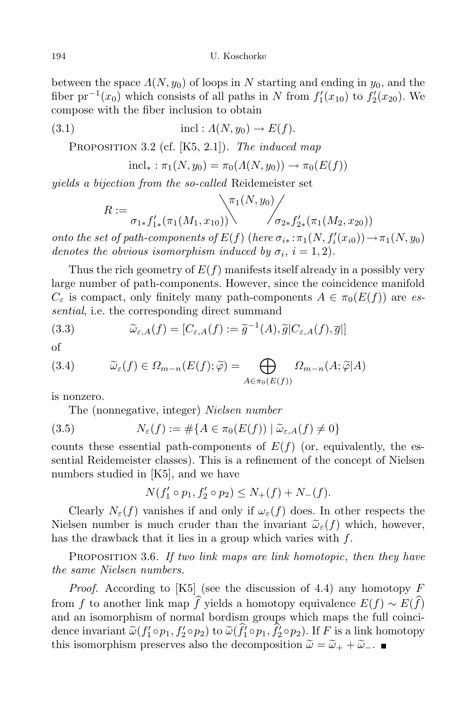between the space  $\Lambda(N, y_0)$  of loops in *N* starting and ending in  $y_0$ , and the fiber  $pr^{-1}(x_0)$  which consists of all paths in *N* from  $f'_1(x_{10})$  to  $f'_2(x_{20})$ . We compose with the fiber inclusion to obtain

(3.1) 
$$
\text{incl}: \Lambda(N, y_0) \to E(f).
$$

Proposition 3.2 (cf. [K5, 2.1]). *The induced map*

$$
incl_* : \pi_1(N, y_0) = \pi_0(\Lambda(N, y_0)) \to \pi_0(E(f))
$$

*yields a bijection from the so-called* Reidemeister set

$$
R := \frac{\pi_1(N, y_0)}{\sigma_{1*} f'_{1*}(\pi_1(M_1, x_{10})) \cdot \cdot \cdot \cdot \cdot \cdot f'_{2*}(\pi_1(M_2, x_{20}))}
$$

onto the set of path-components of  $E(f)$  (here  $\sigma_{i*}: \pi_1(N, f'_i(x_{i0})) \to \pi_1(N, y_0)$ *denotes the obvious isomorphism induced by*  $\sigma_i$ ,  $i = 1, 2$ .

Thus the rich geometry of  $E(f)$  manifests itself already in a possibly very large number of path-components. However, since the coincidence manifold  $C_{\varepsilon}$  is compact, only finitely many path-components  $A \in \pi_0(E(f))$  are *essential*, i.e. the corresponding direct summand

(3.3) 
$$
\widetilde{\omega}_{\varepsilon,A}(f) = [C_{\varepsilon,A}(f) := \widetilde{g}^{-1}(A), \widetilde{g}|C_{\varepsilon,A}(f), \overline{g}|]
$$

of

(3.4) 
$$
\widetilde{\omega}_{\varepsilon}(f) \in \Omega_{m-n}(E(f); \widetilde{\varphi}) = \bigoplus_{A \in \pi_0(E(f))} \Omega_{m-n}(A; \widetilde{\varphi}|A)
$$

is nonzero.

The (nonnegative, integer) *Nielsen number*

(3.5) 
$$
N_{\varepsilon}(f) := \#\{A \in \pi_0(E(f)) \mid \widetilde{\omega}_{\varepsilon,A}(f) \neq 0\}
$$

counts these essential path-components of  $E(f)$  (or, equivalently, the essential Reidemeister classes). This is a refinement of the concept of Nielsen numbers studied in [K5], and we have

$$
N(f'_1 \circ p_1, f'_2 \circ p_2) \le N_+(f) + N_-(f).
$$

Clearly  $N_{\varepsilon}(f)$  vanishes if and only if  $\omega_{\varepsilon}(f)$  does. In other respects the Nielsen number is much cruder than the invariant  $\tilde{\omega}_{\varepsilon}(f)$  which, however, has the drawback that it lies in a group which varies with *f*.

Proposition 3.6. *If two link maps are link homotopic*, *then they have the same Nielsen numbers.*

*Proof.* According to [K5] (see the discussion of 4.4) any homotopy *F* from *f* to another link map  $\hat{f}$  yields a homotopy equivalence  $E(f) \sim E(\hat{f})$ and an isomorphism of normal bordism groups which maps the full coincidence invariant  $\widetilde{\omega}(f'_1 \circ p_1, f'_2 \circ p_2)$  to  $\widetilde{\omega}(f'_1 \circ p_1, f'_2 \circ p_2)$ . If F is a link homotopy this isomorphism preserves also the decomposition  $\tilde{\omega} = \tilde{\omega}_+ + \tilde{\omega}_-$ .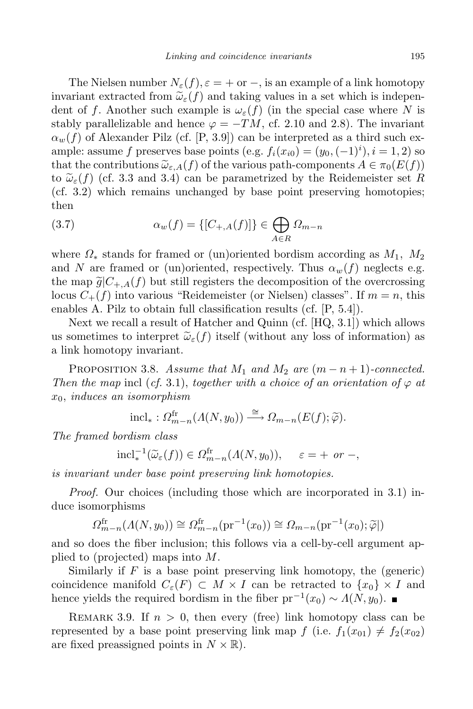The Nielsen number  $N_{\varepsilon}(f), \varepsilon = +$  or  $-$ , is an example of a link homotopy invariant extracted from  $\tilde{\omega}_{\varepsilon}(f)$  and taking values in a set which is independent of *f*. Another such example is  $\omega_{\varepsilon}(f)$  (in the special case where N is stably parallelizable and hence  $\varphi = -TM$ , cf. 2.10 and 2.8). The invariant  $\alpha_w(f)$  of Alexander Pilz (cf. [P, 3.9]) can be interpreted as a third such example: assume *f* preserves base points (e.g.  $f_i(x_{i0}) = (y_0, (-1)^i), i = 1, 2$ ) so that the contributions  $\tilde{\omega}_{\varepsilon,A}(f)$  of the various path-components  $A \in \pi_0(E(f))$ to  $\tilde{\omega}_{\varepsilon}(f)$  (cf. 3.3 and 3.4) can be parametrized by the Reidemeister set R (cf. 3.2) which remains unchanged by base point preserving homotopies; then

(3.7) 
$$
\alpha_w(f) = \{ [C_{+,A}(f)] \} \in \bigoplus_{A \in R} \Omega_{m-n}
$$

where  $\Omega_*$  stands for framed or (un)oriented bordism according as  $M_1$ ,  $M_2$ and *N* are framed or (un)oriented, respectively. Thus  $\alpha_w(f)$  neglects e.g. the map  $\tilde{g}|C_{+,A}(f)$  but still registers the decomposition of the overcrossing locus  $C_{+}(f)$  into various "Reidemeister (or Nielsen) classes". If  $m = n$ , this enables A. Pilz to obtain full classification results (cf. [P, 5.4]).

Next we recall a result of Hatcher and Quinn (cf. [HQ, 3.1]) which allows us sometimes to interpret  $\tilde{\omega}_{\varepsilon}(f)$  itself (without any loss of information) as a link homotopy invariant.

PROPOSITION 3.8. *Assume that*  $M_1$  *and*  $M_2$  *are*  $(m - n + 1)$ *-connected. Then the map* incl (*cf.* 3*.*1), *together with a choice of an orientation of*  $\varphi$  *at x*0, *induces an isomorphism*

$$
\text{incl}_* : \Omega_{m-n}^{\text{fr}}(A(N, y_0)) \xrightarrow{\cong} \Omega_{m-n}(E(f); \widetilde{\varphi}).
$$

*The framed bordism class*

$$
\mathrm{incl}_*^{-1}(\widetilde{\omega}_{\varepsilon}(f)) \in \Omega_{m-n}^{\mathrm{fr}}(\Lambda(N, y_0)), \quad \varepsilon = + \text{ or } -,
$$

*is invariant under base point preserving link homotopies.*

*Proof.* Our choices (including those which are incorporated in 3.1) induce isomorphisms

$$
\Omega_{m-n}^{\text{fr}}(A(N,y_0)) \cong \Omega_{m-n}^{\text{fr}}(\text{pr}^{-1}(x_0)) \cong \Omega_{m-n}(\text{pr}^{-1}(x_0); \tilde{\varphi})
$$

and so does the fiber inclusion; this follows via a cell-by-cell argument applied to (projected) maps into *M*.

Similarly if *F* is a base point preserving link homotopy, the (generic) coincidence manifold  $C_{\varepsilon}(F) \subset M \times I$  can be retracted to  $\{x_0\} \times I$  and hence yields the required bordism in the fiber  $pr^{-1}(x_0) \sim \Lambda(N, y_0)$ .

REMARK 3.9. If  $n > 0$ , then every (free) link homotopy class can be represented by a base point preserving link map  $f$  (i.e.  $f_1(x_{01}) \neq f_2(x_{02})$ ) are fixed preassigned points in  $N \times \mathbb{R}$ ).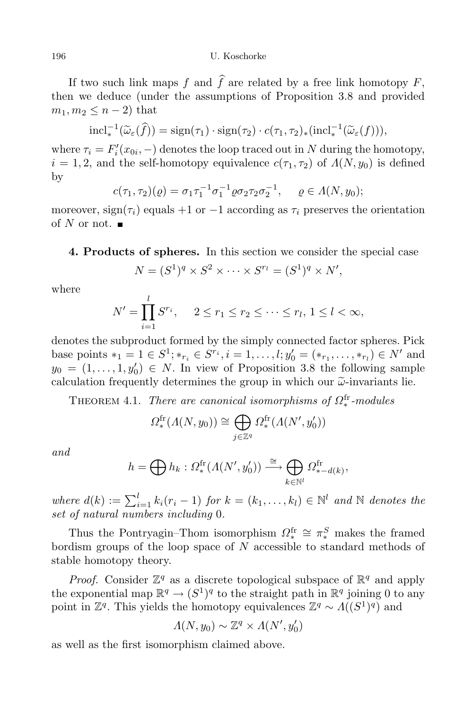If two such link maps  $f$  and  $\hat{f}$  are related by a free link homotopy  $F$ , then we deduce (under the assumptions of Proposition 3.8 and provided  $m_1, m_2 \leq n-2$  that

$$
\mathrm{incl}_*^{-1}(\widetilde{\omega}_{\varepsilon}(\widehat{f})) = \mathrm{sign}(\tau_1) \cdot \mathrm{sign}(\tau_2) \cdot c(\tau_1, \tau_2)_*(\mathrm{incl}_*^{-1}(\widetilde{\omega}_{\varepsilon}(f))),
$$

where  $\tau_i = F'_i(x_{0i}, -)$  denotes the loop traced out in *N* during the homotopy,  $i = 1, 2$ , and the self-homotopy equivalence  $c(\tau_1, \tau_2)$  of  $\Lambda(N, y_0)$  is defined by

$$
c(\tau_1, \tau_2)(\varrho) = \sigma_1 \tau_1^{-1} \sigma_1^{-1} \varrho \sigma_2 \tau_2 \sigma_2^{-1}, \quad \varrho \in \Lambda(N, y_0);
$$

moreover,  $sign(\tau_i)$  equals +1 or  $-1$  according as  $\tau_i$  preserves the orientation of  $N$  or not.  $\blacksquare$ 

**4. Products of spheres.** In this section we consider the special case

$$
N = (S1)q \times S2 \times \cdots \times Srl = (S1)q \times N',
$$

where

$$
N' = \prod_{i=1}^{l} S^{r_i}, \quad 2 \le r_1 \le r_2 \le \dots \le r_l, \ 1 \le l < \infty,
$$

denotes the subproduct formed by the simply connected factor spheres. Pick base points  $*_1 = 1 \in S^1; *_{r_i} \in S^{r_i}, i = 1, ..., l; y'_0 = (*_{r_1}, ..., *_{r_l}) \in N'$  and  $y_0 = (1, \ldots, 1, y'_0) \in N$ . In view of Proposition 3.8 the following sample calculation frequently determines the group in which our  $\tilde{\omega}$ -invariants lie.

THEOREM 4.1. *There are canonical isomorphisms of*  $\Omega_*^{\text{fr}}$ *-modules* 

$$
\Omega_*^{\text{fr}}(\Lambda(N, y_0)) \cong \bigoplus_{j \in \mathbb{Z}^q} \Omega_*^{\text{fr}}(\Lambda(N', y'_0))
$$

*and*

$$
h = \bigoplus h_k : \Omega_*^{\text{fr}}(\Lambda(N', y_0')) \xrightarrow{\cong} \bigoplus_{k \in \mathbb{N}^l} \Omega_{*-d(k)}^{\text{fr}},
$$

where  $d(k) := \sum_{i=1}^{l} k_i (r_i - 1)$  for  $k = (k_1, \ldots, k_l) \in \mathbb{N}^l$  and  $\mathbb N$  denotes the *set of natural numbers including* 0*.*

Thus the Pontryagin–Thom isomorphism  $\Omega_{\ast}^{\text{fr}} \cong \pi_{\ast}^S$  makes the framed *∗* bordism groups of the loop space of *N* accessible to standard methods of stable homotopy theory.

*Proof.* Consider  $\mathbb{Z}^q$  as a discrete topological subspace of  $\mathbb{R}^q$  and apply the exponential map  $\mathbb{R}^q \to (S^1)^q$  to the straight path in  $\mathbb{R}^q$  joining 0 to any point in  $\mathbb{Z}^q$ . This yields the homotopy equivalences  $\mathbb{Z}^q \sim \Lambda((S^1)^q)$  and

$$
\Lambda(N, y_0) \sim \mathbb{Z}^q \times \Lambda(N', y_0')
$$

as well as the first isomorphism claimed above.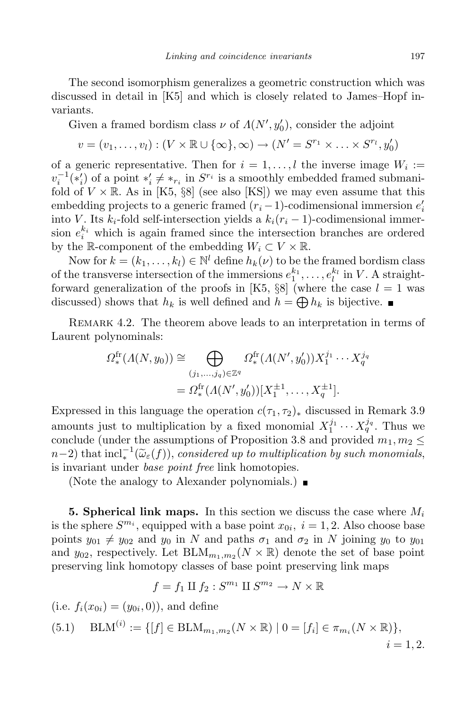The second isomorphism generalizes a geometric construction which was discussed in detail in [K5] and which is closely related to James–Hopf invariants.

Given a framed bordism class  $\nu$  of  $\Lambda(N', y_0')$ , consider the adjoint

$$
v = (v_1, \ldots, v_l) : (V \times \mathbb{R} \cup \{\infty\}, \infty) \to (N' = S^{r_1} \times \ldots \times S^{r_l}, y_0')
$$

of a generic representative. Then for  $i = 1, \ldots, l$  the inverse image  $W_i :=$  $v_i^{-1}(*_i')$  of a point  $*'_i \neq *_{r_i}$  in  $S^{r_i}$  is a smoothly embedded framed submanifold of  $V \times \mathbb{R}$ . As in [K5, §8] (see also [KS]) we may even assume that this embedding projects to a generic framed  $(r_i - 1)$ -codimensional immersion  $e'_i$ into *V*. Its  $k_i$ -fold self-intersection yields a  $k_i(r_i-1)$ -codimensional immersion  $e_i^{k_i}$  which is again framed since the intersection branches are ordered by the R-component of the embedding  $W_i \subset V \times \mathbb{R}$ .

Now for  $k = (k_1, \ldots, k_l) \in \mathbb{N}^l$  define  $h_k(\nu)$  to be the framed bordism class of the transverse intersection of the immersions  $e_1^{k_1}, \ldots, e_l^{k_l}$  in *V*. A straightforward generalization of the proofs in [K5,  $\S 8$ ] (where the case  $l = 1$  was discussed) shows that  $h_k$  is well defined and  $h = \bigoplus h_k$  is bijective.

Remark 4.2. The theorem above leads to an interpretation in terms of Laurent polynominals:

$$
\Omega_*^{\text{fr}}(A(N, y_0)) \cong \bigoplus_{(j_1, \dots, j_q) \in \mathbb{Z}^q} \Omega_*^{\text{fr}}(A(N', y'_0)) X_1^{j_1} \cdots X_q^{j_q}
$$

$$
= \Omega_*^{\text{fr}}(A(N', y'_0)) [X_1^{\pm 1}, \dots, X_q^{\pm 1}].
$$

Expressed in this language the operation  $c(\tau_1, \tau_2)$ <sup>\*</sup> discussed in Remark 3.9 amounts just to multiplication by a fixed monomial  $X_1^{j_1} \cdots X_q^{j_q}$ . Thus we conclude (under the assumptions of Proposition 3.8 and provided  $m_1, m_2 \leq$  $n-2$ ) that  $\text{incl}_\varepsilon^{-1}(\widetilde{\omega}_\varepsilon(f))$ , *considered up to multiplication by such monomials*, *∗* is invariant under *base point free* link homotopies.

(Note the analogy to Alexander polynomials.)  $\blacksquare$ 

**5. Spherical link maps.** In this section we discuss the case where *M<sup>i</sup>* is the sphere  $S^{m_i}$ , equipped with a base point  $x_{0i}$ ,  $i = 1, 2$ . Also choose base points  $y_{01} \neq y_{02}$  and  $y_0$  in *N* and paths  $\sigma_1$  and  $\sigma_2$  in *N* joining  $y_0$  to  $y_{01}$ and  $y_{02}$ , respectively. Let  $BLM_{m_1,m_2}(N \times \mathbb{R})$  denote the set of base point preserving link homotopy classes of base point preserving link maps

$$
f = f_1 \amalg f_2 : S^{m_1} \amalg S^{m_2} \to N \times \mathbb{R}
$$

 $(i.e. f_i(x_{0i}) = (y_{0i}, 0))$ , and define  $(5.1)$  BLM<sup>(*i*)</sup> := { $[f] \in \text{BLM}_{m_1,m_2}(N \times \mathbb{R}) \mid 0 = [f_i] \in \pi_{m_i}(N \times \mathbb{R})$ },  $i = 1, 2.$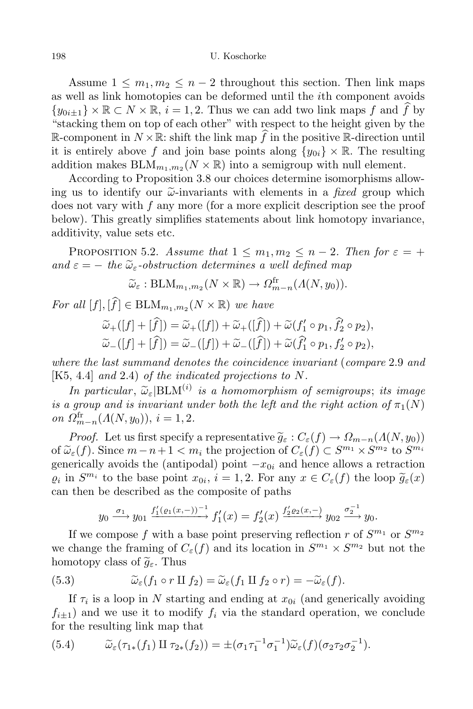Assume  $1 \leq m_1, m_2 \leq n-2$  throughout this section. Then link maps as well as link homotopies can be deformed until the *i*th component avoids  ${y_{0i\pm1}} \times \mathbb{R} \subset N \times \mathbb{R}, i = 1, 2$ . Thus we can add two link maps *f* and *f* by "stacking them on top of each other" with respect to the height given by the R-component in  $N \times \mathbb{R}$ : shift the link map f in the positive R-direction until it is entirely above *f* and join base points along  $\{y_{0i}\}\times\mathbb{R}$ . The resulting addition makes  $\text{BLM}_{m_1,m_2}(N \times \mathbb{R})$  into a semigroup with null element.

According to Proposition 3.8 our choices determine isomorphisms allowing us to identify our  $\tilde{\omega}$ -invariants with elements in a *fixed* group which does not vary with *f* any more (for a more explicit description see the proof below). This greatly simplifies statements about link homotopy invariance, additivity, value sets etc.

PROPOSITION 5.2. *Assume* that  $1 \leq m_1, m_2 \leq n-2$ . Then for  $\varepsilon = +$  $and \varepsilon = -$  *the*  $\widetilde{\omega}_{\varepsilon}$ -*obstruction determines a well defined map*<br> $\widetilde{\omega}_{\varepsilon}$ : BLM<sub>m</sub>, m<sub>o</sub> $(N \times \mathbb{R}) \rightarrow \Omega_{\varepsilon}^{\text{fr}}$ , ( $A(N, y_0)$ ).

$$
\widetilde{\omega}_{\varepsilon} : \text{BLM}_{m_1, m_2}(N \times \mathbb{R}) \to \Omega_{m-n}^{\text{fr}}(A(N, y_0)).
$$

 $For all [f], [f] \in \text{BLM}_{m_1, m_2}(N \times \mathbb{R})$  *we have* 

$$
\widetilde{\omega}_{+}([f] + [\widehat{f}]) = \widetilde{\omega}_{+}([f]) + \widetilde{\omega}_{+}([\widehat{f}]) + \widetilde{\omega}(f'_{1} \circ p_{1}, \widehat{f}'_{2} \circ p_{2}), \n\widetilde{\omega}_{-}([f] + [\widehat{f}]) = \widetilde{\omega}_{-}([f]) + \widetilde{\omega}_{-}([\widehat{f}]) + \widetilde{\omega}(\widehat{f}'_{1} \circ p_{1}, f'_{2} \circ p_{2}),
$$

*where the last summand denotes the coincidence invariant* (*compare* 2*.*9 *and* [K5, 4.4] *and* 2*.*4) *of the indicated projections to N.*

*In particular*,  $\widetilde{\omega}_\varepsilon|\text{BLM}^{(i)}|$  *is a homomorphism* of *semigroups*; *its image is a group and is invariant under both the left and the right action of*  $\pi_1(N)$ *on*  $\Omega_{m-n}^{\text{fr}}(A(N, y_0)), i = 1, 2.$ 

*Proof.* Let us first specify a representative  $\tilde{g}_{\varepsilon}: C_{\varepsilon}(f) \to \Omega_{m-n}(A(N, y_0))$ of  $\widetilde{\omega}_{\varepsilon}(f)$ . Since  $m - n + 1 < m_i$  the projection of  $C_{\varepsilon}(f) \subset S^{m_1} \times S^{m_2}$  to  $S^{m_i}$ <br>proposite the (originals) with the conditions of the proposition generically avoids the (antipodal) point  $-x_{0i}$  and hence allows a retraction  $\varrho_i$  in  $S^{m_i}$  to the base point  $x_{0i}$ ,  $i = 1, 2$ . For any  $x \in C_{\varepsilon}(f)$  the loop  $\widetilde{g}_{\varepsilon}(x)$ can then be described as the composite of paths

$$
y_0 \xrightarrow{\sigma_1} y_{01} \xrightarrow{f'_1(\varrho_1(x,-))^{-1}} f'_1(x) = f'_2(x) \xrightarrow{f'_2\varrho_2(x,-)} y_{02} \xrightarrow{\sigma_2^{-1}} y_0.
$$

If we compose f with a base point preserving reflection r of  $S^{m_1}$  or  $S^{m_2}$ we change the framing of  $C_{\varepsilon}(f)$  and its location in  $S^{m_1} \times S^{m_2}$  but not the homotopy class of  $\widetilde{g}_{\varepsilon}$ . Thus

(5.3) 
$$
\widetilde{\omega}_{\varepsilon}(f_1 \circ r \amalg f_2) = \widetilde{\omega}_{\varepsilon}(f_1 \amalg f_2 \circ r) = -\widetilde{\omega}_{\varepsilon}(f).
$$

If  $\tau_i$  is a loop in *N* starting and ending at  $x_{0i}$  (and generically avoiding  $f_{i\pm 1}$  and we use it to modify  $f_i$  via the standard operation, we conclude for the resulting link map that

(5.4) 
$$
\widetilde{\omega}_{\varepsilon}(\tau_{1*}(f_1) \amalg \tau_{2*}(f_2)) = \pm (\sigma_1 \tau_1^{-1} \sigma_1^{-1}) \widetilde{\omega}_{\varepsilon}(f) (\sigma_2 \tau_2 \sigma_2^{-1}).
$$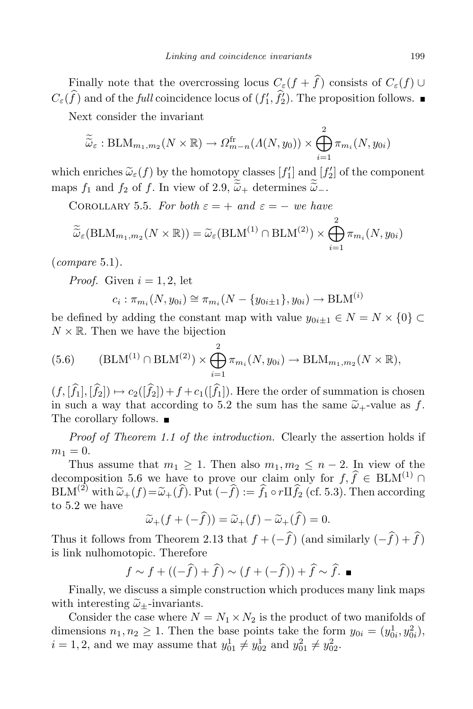Finally note that the overcrossing locus  $C_{\varepsilon}(f + \hat{f})$  consists of  $C_{\varepsilon}(f)$  *∪*  $C_{\varepsilon}(f)$  and of the *full* coincidence locus of  $(f'_{1}, f'_{2})$ . The proposition follows.

Next consider the invariant

$$
\widetilde{\widetilde{\omega}}_{\varepsilon} : \text{BLM}_{m_1, m_2}(N \times \mathbb{R}) \to \Omega_{m-n}^{\text{fr}}(A(N, y_0)) \times \bigoplus_{i=1}^2 \pi_{m_i}(N, y_{0i})
$$

which enriches  $\widetilde{\omega}_{\varepsilon}(f)$  by the homotopy classes  $[f'_1]$  and  $[f'_2]$  of the component maps  $f_1$  and  $f_2$  of  $f$ . In view of 2.9,  $\tilde{\tilde{\omega}}_+$  determines  $\tilde{\tilde{\omega}}_-$ .

COROLLARY 5.5. *For both*  $\varepsilon = +$  *and*  $\varepsilon = -$  *we have*  $\overline{Q}$ 

$$
\widetilde{\widetilde{\omega}}_{\varepsilon}(\mathrm{BLM}_{m_1,m_2}(N\times\mathbb{R})) = \widetilde{\omega}_{\varepsilon}(\mathrm{BLM}^{(1)} \cap \mathrm{BLM}^{(2)}) \times \bigoplus_{i=1}^{n} \pi_{m_i}(N, y_{0i})
$$

(*compare* 5*.*1)*.*

*Proof.* Given  $i = 1, 2$ , let

$$
c_i : \pi_{m_i}(N, y_{0i}) \cong \pi_{m_i}(N - \{y_{0i \pm 1}\}, y_{0i}) \to \text{BLM}^{(i)}
$$

be defined by adding the constant map with value  $y_{0i+1} \in N = N \times \{0\} \subset$  $N \times \mathbb{R}$ . Then we have the bijection

(5.6) 
$$
(BLM^{(1)} \cap BLM^{(2)}) \times \bigoplus_{i=1}^{2} \pi_{m_i}(N, y_{0i}) \to BLM_{m_1, m_2}(N \times \mathbb{R}),
$$

 $(f, [\hat{f}_1], [\hat{f}_2]) \mapsto c_2([\hat{f}_2]) + f + c_1([\hat{f}_1])$ . Here the order of summation is chosen in such a way that according to 5.2 the sum has the same  $\tilde{\omega}_+$ -value as f. The corollary follows. ■

*Proof of Theorem 1.1 of the introduction.* Clearly the assertion holds if  $m_1 = 0.$ 

Thus assume that  $m_1 \geq 1$ . Then also  $m_1, m_2 \leq n-2$ . In view of the decomposition 5.6 we have to prove our claim only for  $f, \hat{f} \in {\text{BLM}}^{(1)}$   $\cap$  $BLM^{(2)}$  with  $\widetilde{\omega}_+(f) = \widetilde{\omega}_+(\widehat{f})$ . Put  $(-\widehat{f}) := \widehat{f}_1 \circ r \amalg \widehat{f}_2$  (cf. 5.3). Then according to 5.2 we have

$$
\widetilde{\omega}_+(f+(-\widehat{f}))=\widetilde{\omega}_+(f)-\widetilde{\omega}_+(\widehat{f})=0.
$$

Thus it follows from Theorem 2.13 that  $f + (-f)($  (and similarly  $(-f) + f$ ) is link nulhomotopic. Therefore

$$
f \sim f + ((-\widehat{f}) + \widehat{f}) \sim (f + (-\widehat{f})) + \widehat{f} \sim \widehat{f}.
$$

Finally, we discuss a simple construction which produces many link maps with interesting  $\tilde{\omega}_+$ -invariants.

Consider the case where  $N = N_1 \times N_2$  is the product of two manifolds of dimensions  $n_1, n_2 \geq 1$ . Then the base points take the form  $y_{0i} = (y_{0i}^1, y_{0i}^2)$ ,  $i = 1, 2$ , and we may assume that  $y_{01}^1 \neq y_{02}^1$  and  $y_{01}^2 \neq y_{02}^2$ .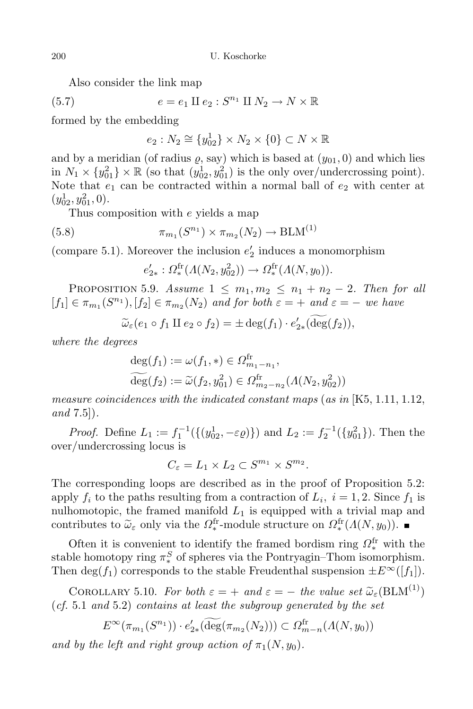Also consider the link map

(5.7) 
$$
e = e_1 \amalg e_2 : S^{n_1} \amalg N_2 \to N \times \mathbb{R}
$$

formed by the embedding

$$
e_2: N_2 \cong \{y_{02}^1\} \times N_2 \times \{0\} \subset N \times \mathbb{R}
$$

and by a meridian (of radius  $\rho$ , say) which is based at  $(y_{01}, 0)$  and which lies in  $N_1 \times \{y_{01}^2\} \times \mathbb{R}$  (so that  $(y_{02}^1, y_{01}^2)$  is the only over/undercrossing point). Note that  $e_1$  can be contracted within a normal ball of  $e_2$  with center at  $(y_{02}^1, y_{01}^2, 0).$ 

Thus composition with *e* yields a map

(5.8) 
$$
\pi_{m_1}(S^{n_1}) \times \pi_{m_2}(N_2) \to \text{BLM}^{(1)}
$$

(compare 5.1). Moreover the inclusion  $e_2$  induces a monomorphism

$$
e'_{2*}: \Omega_*^{\text{fr}}(\Lambda(N_2, y_{02}^2)) \to \Omega_*^{\text{fr}}(\Lambda(N, y_0)).
$$

**PROPOSITION** 5.9. *Assume*  $1 \le m_1, m_2 \le n_1 + n_2 - 2$ . *Then for all*  $[f_1] \in \pi_{m_1}(S^{n_1}), [f_2] \in \pi_{m_2}(N_2)$  *and for both*  $\varepsilon = +$  *and*  $\varepsilon = -$  *we have* 

 $\widetilde{\omega}_{\varepsilon}(e_1 \circ f_1 \amalg e_2 \circ f_2) = \pm \deg(f_1) \cdot e'_{2*}(\deg(f_2)),$ 

*where the degrees*

$$
\deg(f_1) := \omega(f_1, *) \in \Omega_{m_1 - n_1}^{\text{fr}},
$$
  

$$
\widehat{\deg}(f_2) := \widetilde{\omega}(f_2, y_{01}^2) \in \Omega_{m_2 - n_2}^{\text{fr}}(A(N_2, y_{02}^2))
$$

*measure coincidences with the indicated constant maps* (*as in* [K5, 1.11, 1.12, *and* 7.5])*.*

*Proof.* Define  $L_1 := f_1^{-1}(\{(y_{02}^1, -\varepsilon \varrho)\})$  and  $L_2 := f_2^{-1}(\{y_{01}^2\})$ . Then the over/undercrossing locus is

$$
C_{\varepsilon}=L_1\times L_2\subset S^{m_1}\times S^{m_2}.
$$

The corresponding loops are described as in the proof of Proposition 5.2: apply  $f_i$  to the paths resulting from a contraction of  $L_i$ ,  $i = 1, 2$ . Since  $f_1$  is nulhomotopic, the framed manifold  $L_1$  is equipped with a trivial map and contributes to  $\tilde{\omega}_{\varepsilon}$  only via the  $\Omega_*^{\text{fr}}$ -module structure on  $\Omega_*^{\text{fr}}(\Lambda(N, y_0))$ .

Often it is convenient to identify the framed bordism ring  $\Omega_*^{\text{fr}}$  with the stable homotopy ring  $\pi^S_*$  of spheres via the Pontryagin–Thom isomorphism. Then deg( $f_1$ ) corresponds to the stable Freudenthal suspension  $\pm E^\infty([f_1])$ .

COROLLARY 5.10. *For both*  $\varepsilon = +$  *and*  $\varepsilon = -$  *the value set*  $\widetilde{\omega}_{\varepsilon}(\text{BLM}^{(1)})$ (*cf.* 5*.*1 *and* 5*.*2) *contains at least the subgroup generated by the set*

 $E^{\infty}(\pi_{m_1}(S^{n_1})) \cdot e'_{2*}(\widetilde{\text{deg}}(\pi_{m_2}(N_2))) \subset \Omega_{m-n}^{\text{fr}}(A(N, y_0))$ 

*and by the left and right group action of*  $\pi_1(N, y_0)$ *.*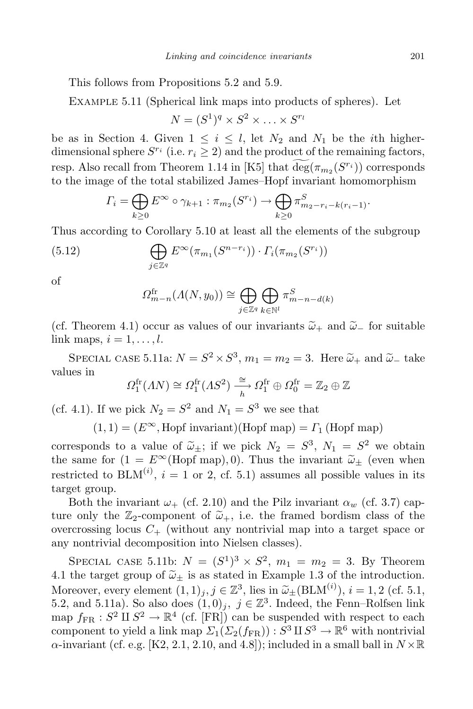This follows from Propositions 5.2 and 5.9.

Example 5.11 (Spherical link maps into products of spheres). Let

$$
N = (S^1)^q \times S^2 \times \ldots \times S^{r_l}
$$

be as in Section 4. Given  $1 \leq i \leq l$ , let  $N_2$  and  $N_1$  be the *i*th higherdimensional sphere  $S^{r_i}$  (i.e.  $r_i \geq 2$ ) and the product of the remaining factors, resp. Also recall from Theorem 1.14 in [K5] that  $\deg(\pi_{m_2}(S^{r_i}))$  corresponds to the image of the total stabilized James–Hopf invariant homomorphism

$$
\Gamma_i = \bigoplus_{k \geq 0} E^{\infty} \circ \gamma_{k+1} : \pi_{m_2}(S^{r_i}) \to \bigoplus_{k \geq 0} \pi_{m_2 - r_i - k(r_i - 1)}^S.
$$

Thus according to Corollary 5.10 at least all the elements of the subgroup

(5.12) 
$$
\bigoplus_{j\in\mathbb{Z}^q} E^{\infty}(\pi_{m_1}(S^{n-r_i})) \cdot \Gamma_i(\pi_{m_2}(S^{r_i}))
$$

of

$$
\Omega_{m-n}^{\text{fr}}(A(N,y_0)) \cong \bigoplus_{j \in \mathbb{Z}^q} \bigoplus_{k \in \mathbb{N}^l} \pi_{m-n-d(k)}^S
$$

(cf. Theorem 4.1) occur as values of our invariants  $\tilde{\omega}_+$  and  $\tilde{\omega}_-$  for suitable link maps,  $i = 1, \ldots, l$ .

SPECIAL CASE 5.11a:  $N = S^2 \times S^3$ ,  $m_1 = m_2 = 3$ . Here  $\tilde{\omega}_+$  and  $\tilde{\omega}_-$  take values in

$$
\Omega_1^{\text{fr}}(AN) \cong \Omega_1^{\text{fr}}(AS^2) \xrightarrow[h]{\cong} \Omega_1^{\text{fr}} \oplus \Omega_0^{\text{fr}} = \mathbb{Z}_2 \oplus \mathbb{Z}
$$

(cf. 4.1). If we pick  $N_2 = S^2$  and  $N_1 = S^3$  we see that

 $(1, 1) = (E^{\infty},$  Hopf invariant)(Hopf map) =  $\Gamma_1$  (Hopf map)

corresponds to a value of  $\tilde{\omega}_{\pm}$ ; if we pick  $N_2 = S^3$ ,  $N_1 = S^2$  we obtain the same for  $(1 = E^{\infty}(\text{Hopf map}), 0)$ . Thus the invariant  $\tilde{\omega}_{\pm}$  (even when restricted to  $BLM^{(i)}$ ,  $i = 1$  or 2, cf. 5.1) assumes all possible values in its target group.

Both the invariant  $\omega_{+}$  (cf. 2.10) and the Pilz invariant  $\alpha_{w}$  (cf. 3.7) capture only the  $\mathbb{Z}_2$ -component of  $\widetilde{\omega}_+$ , i.e. the framed bordism class of the overcrossing locus  $C_{+}$  (without any nontrivial map into a target space or any nontrivial decomposition into Nielsen classes).

SPECIAL CASE 5.11b:  $N = (S^1)^3 \times S^2$ ,  $m_1 = m_2 = 3$ . By Theorem 4.1 the target group of  $\tilde{\omega}_{\pm}$  is as stated in Example 1.3 of the introduction. Moreover, every element  $(1,1)_j$ ,  $j \in \mathbb{Z}^3$ , lies in  $\widetilde{\omega}_{\pm}(\text{BLM}^{(i)}), i = 1,2$  (cf. 5.1, 5.2, and 5.11a). So also does  $(1,0)_j$ ,  $j \in \mathbb{Z}^3$ . Indeed, the Fenn–Rolfsen link map  $f_{FR}: S^2 \amalg S^2 \to \mathbb{R}^4$  (cf. [FR]) can be suspended with respect to each component to yield a link map  $\Sigma_1(\Sigma_2(f_{FR})) : S^3 \amalg S^3 \to \mathbb{R}^6$  with nontrivial  $\alpha$ -invariant (cf. e.g. [K2, 2.1, 2.10, and 4.8]); included in a small ball in  $N \times \mathbb{R}$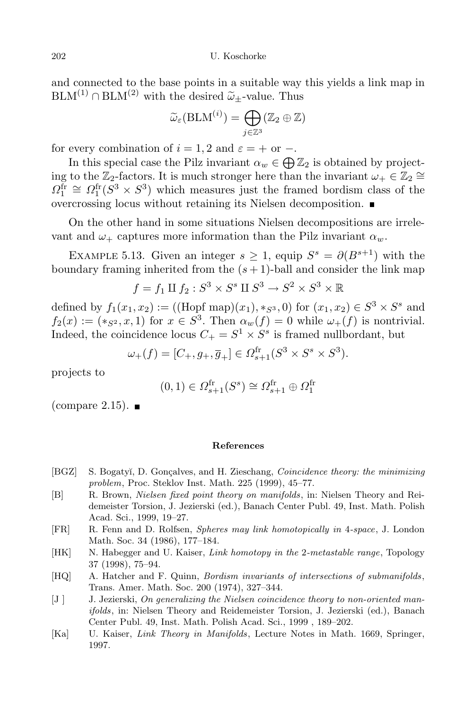and connected to the base points in a suitable way this yields a link map in  $BLM^{(1)} \cap BLM^{(2)}$  with the desired  $\tilde{\omega}_+$ -value. Thus

$$
\widetilde{\omega}_{\varepsilon}(\mathrm{BLM}^{(i)}) = \bigoplus_{j \in \mathbb{Z}^3} (\mathbb{Z}_2 \oplus \mathbb{Z})
$$

for every combination of  $i = 1, 2$  and  $\varepsilon = +$  or  $-$ .

In this special case the Pilz invariant  $\alpha_w \in \bigoplus \mathbb{Z}_2$  is obtained by projecting to the  $\mathbb{Z}_2$ -factors. It is much stronger here than the invariant  $\omega_+ \in \mathbb{Z}_2 \cong$  $\Omega_1^{\text{fr}} \cong \Omega_1^{\text{fr}}(S^3 \times S^3)$  which measures just the framed bordism class of the overcrossing locus without retaining its Nielsen decomposition.

On the other hand in some situations Nielsen decompositions are irrelevant and  $\omega_+$  captures more information than the Pilz invariant  $\alpha_w$ .

EXAMPLE 5.13. Given an integer  $s \geq 1$ , equip  $S^s = \partial(B^{s+1})$  with the boundary framing inherited from the  $(s + 1)$ -ball and consider the link map

$$
f = f_1 \amalg f_2 : S^3 \times S^s \amalg S^3 \to S^2 \times S^3 \times \mathbb{R}
$$

defined by  $f_1(x_1, x_2) := ((\text{Hopf map})(x_1), *_{S^3}, 0)$  for  $(x_1, x_2) \in S^3 \times S^s$  and  $f_2(x) := (*_{S^2}, x, 1)$  for  $x \in S^3$ . Then  $\alpha_w(f) = 0$  while  $\omega_+(f)$  is nontrivial. Indeed, the coincidence locus  $C_+ = S^1 \times S^s$  is framed nullbordant, but

$$
\omega_{+}(f) = [C_{+}, g_{+}, \overline{g}_{+}] \in \Omega_{s+1}^{\text{fr}}(S^{3} \times S^{s} \times S^{3}).
$$

projects to

$$
(0,1) \in \Omega_{s+1}^{\text{fr}}(S^s) \cong \Omega_{s+1}^{\text{fr}} \oplus \Omega_1^{\text{fr}}
$$

(compare 2.15).  $\blacksquare$ 

## **References**

- [BGZ] S. Bogaty˘ı, D. Gon¸calves, and H. Zieschang, *Coincidence theory: the minimizing problem*, Proc. Steklov Inst. Math. 225 (1999), 45–77.
- [B] R. Brown, *Nielsen fixed point theory on manifolds*, in: Nielsen Theory and Reidemeister Torsion, J. Jezierski (ed.), Banach Center Publ. 49, Inst. Math. Polish Acad. Sci., 1999, 19–27.
- [FR] R. Fenn and D. Rolfsen, *Spheres may link homotopically in* 4*-space*, J. London Math. Soc. 34 (1986), 177–184.
- [HK] N. Habegger and U. Kaiser, *Link homotopy in the* 2*-metastable range*, Topology 37 (1998), 75–94.
- [HQ] A. Hatcher and F. Quinn, *Bordism invariants of intersections of submanifolds*, Trans. Amer. Math. Soc. 200 (1974), 327–344.
- [J ] J. Jezierski, *On generalizing the Nielsen coincidence theory to non-oriented manifolds*, in: Nielsen Theory and Reidemeister Torsion, J. Jezierski (ed.), Banach Center Publ. 49, Inst. Math. Polish Acad. Sci., 1999 , 189–202.
- [Ka] U. Kaiser, *Link Theory in Manifolds*, Lecture Notes in Math. 1669, Springer, 1997.